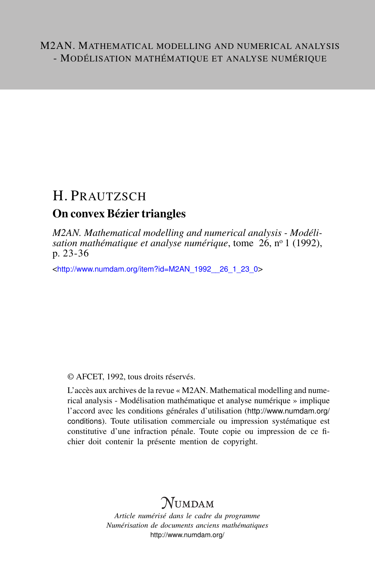## H. PRAUTZSCH

## On convex Bézier triangles

*M2AN. Mathematical modelling and numerical analysis - Modélisation mathématique et analyse numérique*, tome 26, n<sup>o</sup> 1 (1992), p. 23-36

<[http://www.numdam.org/item?id=M2AN\\_1992\\_\\_26\\_1\\_23\\_0](http://www.numdam.org/item?id=M2AN_1992__26_1_23_0)>

© AFCET, 1992, tous droits réservés.

L'accès aux archives de la revue « M2AN. Mathematical modelling and numerical analysis - Modélisation mathématique et analyse numérique » implique l'accord avec les conditions générales d'utilisation ([http://www.numdam.org/](http://www.numdam.org/conditions) [conditions](http://www.numdam.org/conditions)). Toute utilisation commerciale ou impression systématique est constitutive d'une infraction pénale. Toute copie ou impression de ce fichier doit contenir la présente mention de copyright.

# $\mathcal{N}$ umdam

*Article numérisé dans le cadre du programme Numérisation de documents anciens mathématiques* <http://www.numdam.org/>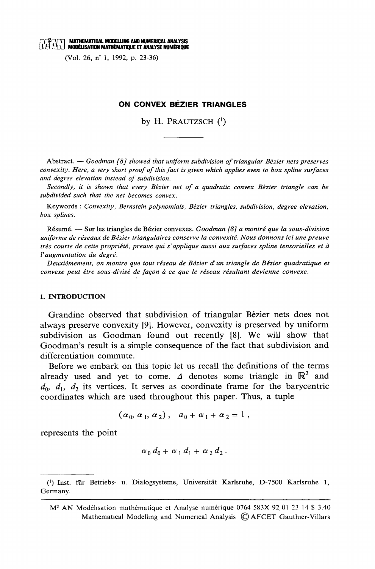## $\mathcal{H}$   $\mathcal{H}$   $\mathcal{H}$  mathematical modelling and numerical analysis  $\mathcal{H}$   $\mathcal{H}$   $\mathcal{H}$  modélisation mathématique et analyse numérique

(Vol. 26, n° 1, 1992, p. 23-36)

#### ON CONVEX BÉZIER TRIANGLES

by H. PRAUTZSCH $(1)$ 

Abstract.  $-$  Goodman [8] showed that uniform subdivision of triangular Bézier nets preserves convexity. Here, a very short proof of this fact is given which applies even to box spline surfaces and degree elevation instead of subdivision.

Secondly, it is shown that every Bézier net of a quadratic convex Bézier triangle can be subdivided such that the net becomes convex.

Keywords: Convexity, Bernstein polynomials, Bézier triangles, subdivision, degree elevation, box splines.

Résumé. — Sur les triangles de Bézier convexes. Goodman [8] a montré que la sous-division uniforme de réseaux de Bézier triangulaires conserve la convexité. Nous donnons ici une preuve très courte de cette propriété, preuve qui s'applique aussi aux surfaces spline tensorielles et à l'augmentation du degré.

Deuxièmement, on montre que tout réseau de Bézier d'un triangle de Bézier quadratique et convexe peut être sous-divisé de façon à ce que le réseau résultant devienne convexe.

#### 1. INTRODUCTION

Grandine observed that subdivision of triangular Bézier nets does not always preserve convexity [9]. However, convexity is preserved by uniform subdivision as Goodman found out recently [8]. We will show that Goodman's result is a simple consequence of the fact that subdivision and differentiation commute.

Before we embark on this topic let us recall the definitions of the terms already used and yet to come.  $\Delta$  denotes some triangle in  $\mathbb{R}^2$  and  $d_0$ ,  $d_1$ ,  $d_2$  its vertices. It serves as coordinate frame for the barycentric coordinates which are used throughout this paper. Thus, a tuple

$$
(\alpha_0, \alpha_1, \alpha_2), \quad a_0 + \alpha_1 + \alpha_2 = 1
$$

represents the point

$$
\alpha_0 d_0 + \alpha_1 d_1 + \alpha_2 d_2.
$$

<sup>(1)</sup> Inst. für Betriebs- u. Dialogsysteme, Universität Karlsruhe, D-7500 Karlsruhe 1, Germany.

M<sup>2</sup> AN Modélisation mathématique et Analyse numérique 0764-583X 92,01 23 14 \$ 3.40 Mathematical Modelling and Numerical Analysis © AFCET Gauthier-Villars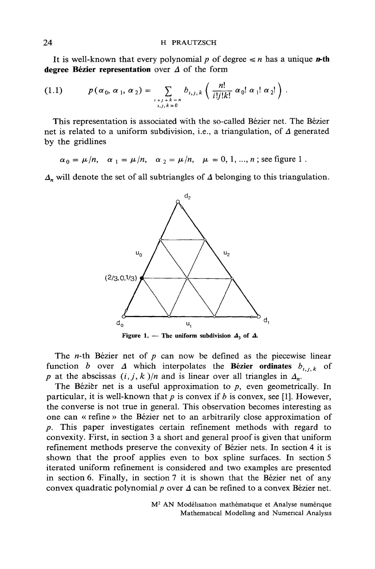It is well-known that every polynomial p of degree  $\leq n$  has a unique **n-th** degree Bézier representation over  $\Delta$  of the form

$$
(1.1) \t p(\alpha_0, \alpha_1, \alpha_2) = \sum_{\substack{i+j+k=n\\i,j,k \geq 0}} b_{i,j,k} \left( \frac{n!}{i!j!k!} \alpha_0! \alpha_1! \alpha_2! \right).
$$

This representation is associated with the so-called Bézier net. The Bézier net is related to a uniform subdivision, i.e., a triangulation, of  $\Delta$  generated by the gridlines

$$
\alpha_0 = \mu/n
$$
,  $\alpha_1 = \mu/n$ ,  $\alpha_2 = \mu/n$ ,  $\mu = 0, 1, ..., n$ ; see figure 1

 $\Delta$ <sub>n</sub> will denote the set of all subtriangles of  $\Delta$  belonging to this triangulation.



Figure 1. — The uniform subdivision  $\Delta_3$  of  $\Delta$ .

The *n*-th Bézier net of  $p$  can now be defined as the piecewise linear function b over  $\Delta$  which interpolates the Bézier ordinates  $b_{i,j,k}$  of p at the abscissas  $(i, j, k)/n$  and is linear over all triangles in  $\Delta_n$ .

The Bézier net is a useful approximation to  $p$ , even geometrically. In particular, it is well-known that  $p$  is convex if  $b$  is convex, see [1]. However, the converse is not true in general. This observation becomes interesting as one can « refine » the Bézier net to an arbitrarily close approximation of  $p$ . This paper investigates certain refinement methods with regard to convexity. First, in section 3 a short and general proof is given that uniform refinement methods preserve the convexity of Bézier nets. In section 4 it is shown that the proof applies even to box spline surfaces. In section 5 iterated uniform refinement is considered and two examples are presented in section 6. Finally, in section 7 it is shown that the Bézier net of any convex quadratic polynomial  $p$  over  $\Delta$  can be refined to a convex Bézier net.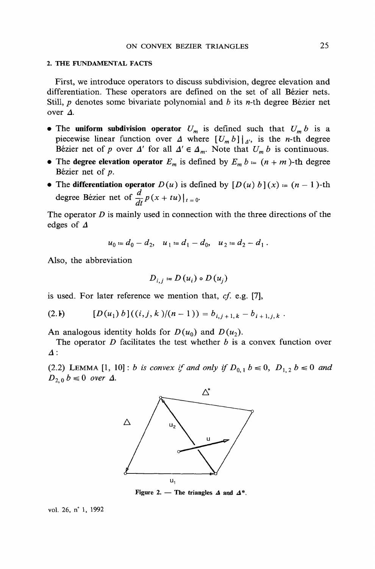#### 2. THE FUNDAMENTAL FACTS

First, we introduce operators to discuss subdivision, degree elevation and differentiation. These operators are defined on the set of all Bézier nets. Still,  $p$  denotes some bivariate polynomial and  $b$  its  $n$ -th degree Bézier net over  $\Delta$ .

- The uniform subdivision operator  $U_m$  is defined such that  $U_m b$  is a piecewise linear function over  $\Delta$  where  $[U_m b] |_{\Delta}$ , is the *n*-th degree Bézier net of p over  $\Delta'$  for all  $\Delta' \in \Delta_m$ . Note that  $U_m b$  is continuous.
- The degree elevation operator  $E_m$  is defined by  $E_m b = (n + m)$ -th degree Bézier net of  $p$ .
- The differentiation operator  $D(u)$  is defined by  $[D(u) b](x) = (n-1)$ -th degree Bézier net of  $\frac{d}{dt} p(x + tu)|_{t=0}$ .

The operator  $D$  is mainly used in connection with the three directions of the edges of  $\Delta$ 

$$
u_0 = d_0 - d_2, \quad u_1 = d_1 - d_0, \quad u_2 = d_2 - d_1 \, .
$$

Also, the abbreviation

$$
D_{i,j} = D(u_i) \circ D(u_j)
$$

is used. For later reference we mention that, cf. e.g. [7],

$$
(2.1) \qquad [D(u_1) b]((i,j,k)/(n-1)) = b_{i,j+1,k} - b_{i+1,j,k}.
$$

An analogous identity holds for  $D(u_0)$  and  $D(u_2)$ .

The operator  $D$  facilitates the test whether  $b$  is a convex function over  $\Delta$ :

(2.2) LEMMA [1, 10]: *b is convex if and only if*  $D_{0,1}$   $b \le 0$ ,  $D_{1,2}$   $b \le 0$  and  $D_{2,0} b \le 0$  over  $\Delta$ .



Figure 2. - The triangles  $\Delta$  and  $\Delta^*$ .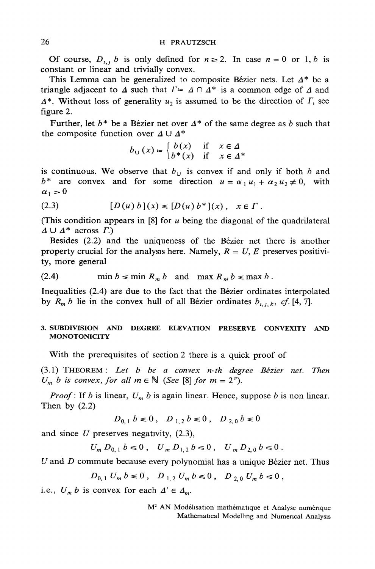Of course,  $D_{i,j}$  b is only defined for  $n \ge 2$ . In case  $n = 0$  or 1, b is constant or linear and trivially convex.

This Lemma can be generalized to composite Bézier nets. Let  $\Delta^*$  be a triangle adjacent to  $\Delta$  such that  $\Gamma = \Delta \cap \Delta^*$  is a common edge of  $\Delta$  and  $\Delta^*$ . Without loss of generality  $u_2$  is assumed to be the direction of  $\Gamma$ , see figure 2.

Further, let  $b^*$  be a Bézier net over  $\Delta^*$  of the same degree as b such that the composite function over  $\Delta \cup \Delta^*$ 

$$
b_{\cup}(x) = \begin{cases} b(x) & \text{if } x \in \Delta \\ b^*(x) & \text{if } x \in \Delta^* \end{cases}
$$

is continuous. We observe that  $b_{ij}$  is convex if and only if both b and  $b^*$  are convex and for some direction  $u = \alpha_1 u_1 + \alpha_2 u_2 \neq 0$ , with  $\alpha_1 > 0$ 

$$
(2.3) \t [D(u) b](x) \leq [D(u) b^*](x), \quad x \in \Gamma.
$$

(This condition appears in  $[8]$  for u being the diagonal of the quadrilateral  $\Delta \cup \Delta^*$  across  $\Gamma$ .)

Besides (2.2) and the uniqueness of the Bézier net there is another property crucial for the analysis here. Namely,  $R = U$ , E preserves positivity, more general

(2.4) 
$$
\min b \leqslant \min R_m b \text{ and } \max R_m b \leqslant \max b.
$$

Inequalities (2.4) are due to the fact that the Bézier ordinates interpolated by  $R_m b$  lie in the convex hull of all Bézier ordinates  $b_{i,j,k}$ , cf. [4, 7].

#### 3. SUBDIVISION AND DEGREE ELEVATION PRESERVE CONVEXITY AND **MONOTONICITY**

With the prerequisites of section 2 there is a quick proof of

(3.1) THEOREM: Let b be a convex n-th degree Bézier net. Then  $U_m$  b is convex, for all  $m \in \mathbb{N}$  (See [8] for  $m = 2^{\nu}$ ).

*Proof*: If b is linear,  $U_m$  b is again linear. Hence, suppose b is non linear. Then by  $(2.2)$ 

$$
D_{0,1} b \le 0 \,, \quad D_{1,2} b \le 0 \,, \quad D_{2,0} b \le 0
$$

and since  $U$  preserves negativity,  $(2.3)$ ,

 $U_m D_{0,1} b \le 0$ ,  $U_m D_{1,2} b \le 0$ ,  $U_m D_{2,0} b \le 0$ .

 $U$  and  $D$  commute because every polynomial has a unique Bézier net. Thus

$$
D_{0,1} U_m b \le 0 , D_{1,2} U_m b \le 0 , D_{2,0} U_m b \le 0 ,
$$

i.e.,  $U_m b$  is convex for each  $\Delta' \in \Delta_m$ .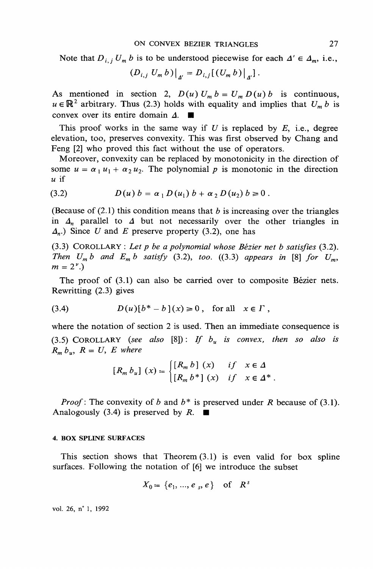Note that  $D_{i,j}U_m b$  is to be understood piecewise for each  $\Delta' \in \Delta_m$ , i.e.,

$$
(D_{i,j} U_m b)|_{A'} = D_{i,j} [(U_m b)|_{A'}].
$$

As mentioned in section 2,  $D(u) U_m b = U_m D(u) b$  is continuous,  $u \in \mathbb{R}^2$  arbitrary. Thus (2.3) holds with equality and implies that  $U_m b$  is convex over its entire domain  $\Delta$ .

This proof works in the same way if U is replaced by E, i.e., degree elevation, too, preserves convexity. This was first observed by Chang and Feng [2] who proved this fact without the use of operators.

Moreover, convexity can be replaced by monotonicity in the direction of some  $u = \alpha_1 u_1 + \alpha_2 u_2$ . The polynomial p is monotonic in the direction  $u$  if

(3.2) 
$$
D(u) b = \alpha_1 D(u_1) b + \alpha_2 D(u_2) b \ge 0.
$$

(Because of  $(2.1)$ ) this condition means that b is increasing over the triangles in  $\Delta_n$  parallel to  $\Delta$  but not necessarily over the other triangles in  $\Delta_n$ .) Since U and E preserve property (3.2), one has

 $(3.3)$  COROLLARY : Let p be a polynomial whose Bézier net b satisfies  $(3.2)$ . Then  $U_m b$  and  $E_m b$  satisfy (3.2), too. ((3.3) appears in [8] for  $U_m$ ,  $m = 2^{\nu}$ .

The proof of  $(3.1)$  can also be carried over to composite Bézier nets. Rewritting (2.3) gives

$$
(3.4) \tD(u)[b^*-b](x) \ge 0, \text{ for all } x \in \Gamma,
$$

where the notation of section 2 is used. Then an immediate consequence is (3.5) COROLLARY (see also [8]): If  $b<sub>u</sub>$  is convex, then so also is  $R_m b_u$ ,  $R = U$ , E where

$$
[R_m b_u] (x) = \begin{cases} [R_m b] (x) & if x \in \Delta \\ [R_m b^*] (x) & if x \in \Delta^* \end{cases}.
$$

*Proof*: The convexity of b and  $b^*$  is preserved under R because of (3.1). Analogously (3.4) is preserved by R.  $\blacksquare$ 

#### **4. BOX SPLINE SURFACES**

This section shows that Theorem  $(3.1)$  is even valid for box spline surfaces. Following the notation of [6] we introduce the subset

$$
X_0 = \{e_1, ..., e_s, e\} \text{ of } R^s
$$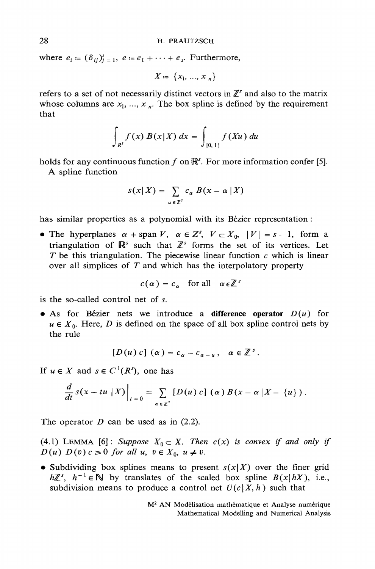where  $e_i = (\delta_{ij})_{j=1}^3$ ,  $e = e_1 + \cdots + e_s$ . Furthermore,

 $X = \{x_1, ..., x_n\}$ 

refers to a set of not necessarily distinct vectors in  $\mathbb{Z}^s$  and also to the matrix whose columns are  $x_1, ..., x_n$ . The box spline is defined by the requirement that

$$
\int_{R^s} f(x) B(x|X) dx = \int_{[0,1]} f(Xu) du
$$

holds for any continuous function f on  $\mathbb{R}^s$ . For more information confer [5].

A spline function

$$
s(x|X) = \sum_{\alpha \in \mathbb{Z}^S} c_{\alpha} B(x - \alpha | X)
$$

has similar properties as a polynomial with its Bézier representation :

• The hyperplanes  $\alpha$  + span V,  $\alpha \in \mathbb{Z}^s$ ,  $V \subset X_0$ ,  $|V| = s - 1$ , form a triangulation of  $\mathbb{R}^s$  such that  $\mathbb{Z}^s$  forms the set of its vertices. Let T be this triangulation. The piecewise linear function  $c$  which is linear over all simplices of  $T$  and which has the interpolatory property

$$
c(\alpha) = c_{\alpha}
$$
 for all  $\alpha \in \mathbb{Z}^3$ 

is the so-called control net of  $s$ .

• As for Bézier nets we introduce a difference operator  $D(u)$  for  $u \in X_0$ . Here, D is defined on the space of all box spline control nets by the rule

$$
[D(u) c] (\alpha) = c_{\alpha} - c_{\alpha - u}, \quad \alpha \in \mathbb{Z}^{s}.
$$

If  $u \in X$  and  $s \in C^1(R^s)$ , one has

$$
\frac{d}{dt} S(x - tu \mid X) \bigg|_{t=0} = \sum_{\alpha \in \mathbb{Z}^s} [D(u) c] (\alpha) B(x - \alpha \mid X - \{u\}) .
$$

The operator  $D$  can be used as in (2.2).

(4.1) LEMMA [6]: Suppose  $X_0 \subset X$ . Then  $c(x)$  is convex if and only if  $D(u) D(v) c \ge 0$  for all  $u, v \in X_0, u \ne v$ .

• Subdividing box splines means to present  $s(x|X)$  over the finer grid  $h\mathbb{Z}^s$ ,  $h^{-1} \in \mathbb{N}$  by translates of the scaled box spline  $B(x|hX)$ , i.e., subdivision means to produce a control net  $U(c|X, h)$  such that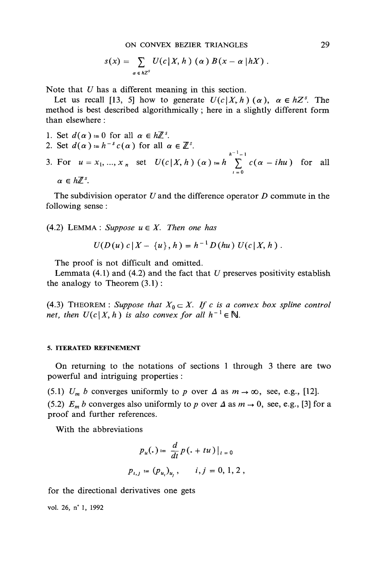ON CONVEX BEZIER TRIANGLES

$$
s(x) = \sum_{\alpha \in hZ^S} U(c|X, h) (\alpha) B(x - \alpha | hX).
$$

Note that  $U$  has a different meaning in this section.

Let us recall [13, 5] how to generate  $U(c|X, h)$  ( $\alpha$ ),  $\alpha \in hZ^s$ . The method is best described algorithmically; here in a slightly different form than elsewhere ·

- 1. Set  $d(\alpha) = 0$  for all  $\alpha \in h\mathbb{Z}^s$ . 2. Set  $d(\alpha) = h^{-s} c(\alpha)$  for all  $\alpha \in \mathbb{Z}^s$ .
- 3. For  $u = x_1, ..., x_n$  set  $U(c|X, h) (\alpha) = h \sum_{i=0}^{h^{-1}-1} c(\alpha ihu)$  for all  $\alpha \in h \mathbb{Z}^s$

The subdivision operator  $U$  and the difference operator  $D$  commute in the following sense:

(4.2) LEMMA: Suppose  $u \in X$ . Then one has

$$
U(D(u) c | X - \{u\}, h) = h^{-1} D(hu) U(c | X, h).
$$

The proof is not difficult and omitted.

Lemmata  $(4.1)$  and  $(4.2)$  and the fact that U preserves positivity establish the analogy to Theorem  $(3.1)$ :

(4.3) THEOREM : Suppose that  $X_0 \subset X$ . If c is a convex box spline control net, then  $U(c|X, h)$  is also convex for all  $h^{-1} \in \mathbb{N}$ .

#### 5. ITERATED REFINEMENT

On returning to the notations of sections 1 through 3 there are two powerful and intriguing properties:

(5.1)  $U_m$  b converges uniformly to p over  $\Delta$  as  $m \to \infty$ , see, e.g., [12]. (5.2)  $E_m b$  converges also uniformly to p over  $\Delta$  as  $m \to 0$ , see, e.g., [3] for a proof and further references.

With the abbreviations

$$
p_u(.) \coloneqq \frac{d}{dt} p(. + tu) \big|_{t=0}
$$
  

$$
p_{i,j} \coloneqq (p_u)_{u,j}, \quad i, j = 0, 1, 2
$$

for the directional derivatives one gets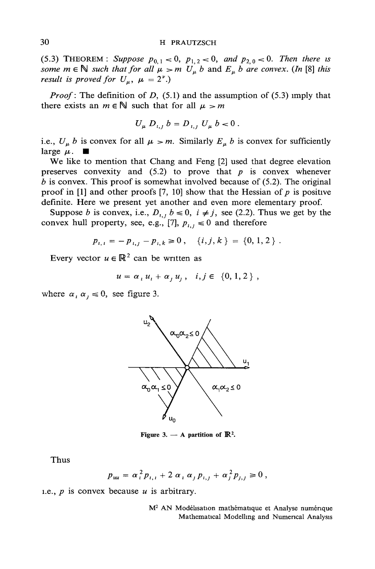#### H PRAUTZSCH

(5.3) THEOREM: Suppose  $p_{0,1} < 0$ ,  $p_{1,2} < 0$ , and  $p_{2,0} < 0$ . Then there is some  $m \in \mathbb{N}$  such that for all  $\mu > m$   $U_{\mu}$  b and  $E_{\mu}$  b are convex. (In [8] this result is proved for  $U_{\mu}$ ,  $\mu = 2^{\nu}$ .)

*Proof*: The definition of D,  $(5.1)$  and the assumption of  $(5.3)$  imply that there exists an  $m \in \mathbb{N}$  such that for all  $\mu > m$ 

$$
U_{\mu} D_{i,j} b = D_{i,j} U_{\mu} b = 0.
$$

i.e.,  $U_{\mu} b$  is convex for all  $\mu > m$ . Similarly  $E_{\mu} b$  is convex for sufficiently large  $\mu$ .

We like to mention that Chang and Feng [2] used that degree elevation preserves convexity and  $(5.2)$  to prove that p is convex whenever  $b$  is convex. This proof is somewhat involved because of  $(5.2)$ . The original proof in [1] and other proofs [7, 10] show that the Hessian of p is positive definite. Here we present yet another and even more elementary proof.

Suppose *b* is convex, i.e.,  $D_{i,j}$   $b \le 0$ ,  $i \ne j$ , see (2.2). Thus we get by the convex hull property, see, e.g., [7],  $p_{i,j} \le 0$  and therefore

$$
p_{i,i} = -p_{i,j} - p_{i,k} \ge 0, \quad \{i,j,k\} = \{0,1,2\}.
$$

Every vector  $u \in \mathbb{R}^2$  can be written as

$$
u = \alpha_i u_i + \alpha_i u_i, \quad i, j \in \{0, 1, 2\},
$$

where  $\alpha_i$   $\alpha_j \le 0$ , see figure 3.



Figure 3. - A partition of  $\mathbb{R}^2$ .

Thus

$$
p_{uu} = \alpha_i^2 p_{i,1} + 2 \alpha_i \alpha_j p_{i,j} + \alpha_i^2 p_{i,j} \ge 0,
$$

i.e.,  $p$  is convex because  $u$  is arbitrary.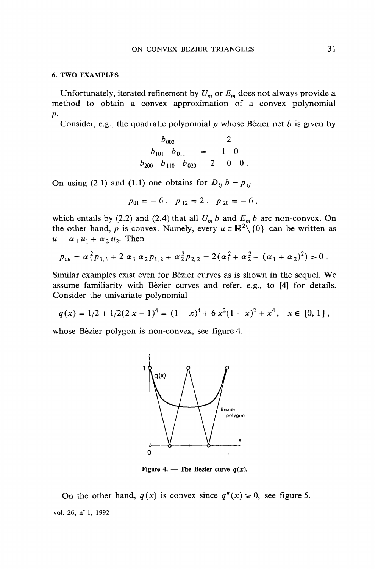#### **6. TWO EXAMPLES**

Unfortunately, iterated refinement by  $U_m$  or  $E_m$  does not always provide a method to obtain a convex approximation of a convex polynomial  $p$ .

Consider, e.g., the quadratic polynomial  $p$  whose Bézier net  $b$  is given by

$$
b_{002} \qquad 2
$$
  
\n
$$
b_{101} \quad b_{011} = -1 \quad 0
$$
  
\n
$$
b_{200} \quad b_{110} \quad b_{020} \qquad 2 \quad 0 \quad 0.
$$

On using (2.1) and (1.1) one obtains for  $D_{ij} b = p_{ij}$ 

$$
p_{01}=-6\ ,\quad p_{12}=2\ ,\quad p_{20}=-6\ ,
$$

which entails by (2.2) and (2.4) that all  $U_m b$  and  $E_m b$  are non-convex. On the other hand, p is convex. Namely, every  $u \in \mathbb{R}^2 \setminus \{0\}$  can be written as  $u = \alpha_1 u_1 + \alpha_2 u_2$ . Then

$$
p_{uu} = \alpha_1^2 p_{1,1} + 2 \alpha_1 \alpha_2 p_{1,2} + \alpha_2^2 p_{2,2} = 2(\alpha_1^2 + \alpha_2^2 + (\alpha_1 + \alpha_2)^2) > 0.
$$

Similar examples exist even for Bézier curves as is shown in the sequel. We assume familiarity with Bézier curves and refer, e.g., to [4] for details. Consider the univariate polynomial

$$
q(x) = 1/2 + 1/2(2x - 1)^4 = (1 - x)^4 + 6x^2(1 - x)^2 + x^4, \quad x \in [0, 1],
$$

whose Bézier polygon is non-convex, see figure 4.



Figure 4. — The Bézier curve  $q(x)$ .

On the other hand,  $q(x)$  is convex since  $q''(x) \ge 0$ , see figure 5. vol. 26, n° 1, 1992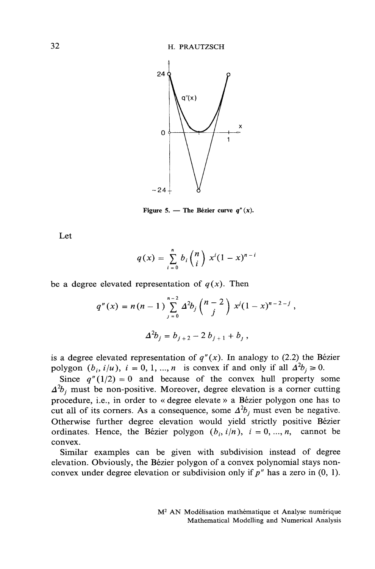

Figure 5. — The Bézier curve  $q''(x)$ .

Let

$$
q(x) = \sum_{i=0}^{n} b_i {n \choose i} x^{i} (1-x)^{n-i}
$$

be a degree elevated representation of  $q(x)$ . Then

$$
q''(x) = n(n-1) \sum_{j=0}^{n-2} \Delta^2 b_j {n-2 \choose j} x^j (1-x)^{n-2-j},
$$
  

$$
\Delta^2 b_j = b_{j+2} - 2 b_{j+1} + b_j,
$$

is a degree elevated representation of  $q''(x)$ . In analogy to (2.2) the Bézier polygon  $(b_i, i/u)$ ,  $i = 0, 1, ..., n$  is convex if and only if all  $\Delta^2 b_i \ge 0$ .

Since  $q''(1/2) = 0$  and because of the convex hull property some  $\Delta^2 b_i$  must be non-positive. Moreover, degree elevation is a corner cutting procedure, i.e., in order to « degree elevate » a Bézier polygon one has to cut all of its corners. As a consequence, some  $\Delta^2 b_i$  must even be negative. Otherwise further degree elevation would yield strictly positive Bézier ordinates. Hence, the Bézier polygon  $(b_i, i/n)$ ,  $i = 0, ..., n$ , cannot be convex.

Similar examples can be given with subdivision instead of degree elevation. Obviously, the Bézier polygon of a convex polynomial stays nonconvex under degree elevation or subdivision only if  $p''$  has a zero in (0, 1).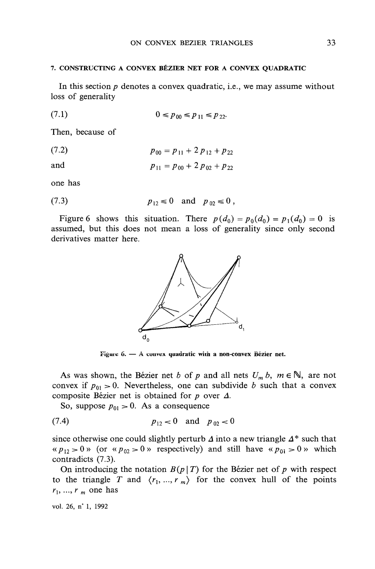### 7. CONSTRUCTING A CONVEX BÉZIER NET FOR A CONVEX QUADRATIC

In this section  $p$  denotes a convex quadratic, i.e., we may assume without loss of generality

$$
(7.1) \t\t 0 \le p_{00} \le p_{11} \le p_{22}
$$

Then, because of

$$
(7.2) \t\t\t p_{00} = p_{11} + 2 p_{12} + p_{22}
$$

and 
$$
p_{11} = p_{00} + 2 p_{02} + p_{22}
$$

one has

(7.3) 
$$
p_{12} \le 0
$$
 and  $p_{02} \le 0$ 

Figure 6 shows this situation. There  $p(d_0) = p_0(d_0) = p_1(d_0) = 0$  is assumed, but this does not mean a loss of generality since only second derivatives matter here.



Figure  $6. - A$  convex quadratic with a non-convex Bézier net.

As was shown, the Bézier net b of p and all nets  $U_m b$ ,  $m \in \mathbb{N}$ , are not convex if  $p_{01} > 0$ . Nevertheless, one can subdivide b such that a convex composite Bézier net is obtained for  $p$  over  $\Delta$ .

So, suppose  $p_{01} > 0$ . As a consequence

$$
(7.4) \t\t\t p_{12} < 0 \t and \t p_{02} < 0
$$

since otherwise one could slightly perturb  $\Delta$  into a new triangle  $\Delta^*$  such that «  $p_{12} > 0$  » (or «  $p_{02} > 0$  » respectively) and still have «  $p_{0i} > 0$  » which contradicts (7.3).

On introducing the notation  $B(p|T)$  for the Bézier net of p with respect to the triangle T and  $\langle r_1, ..., r_m \rangle$  for the convex hull of the points  $r_1, ..., r_m$  one has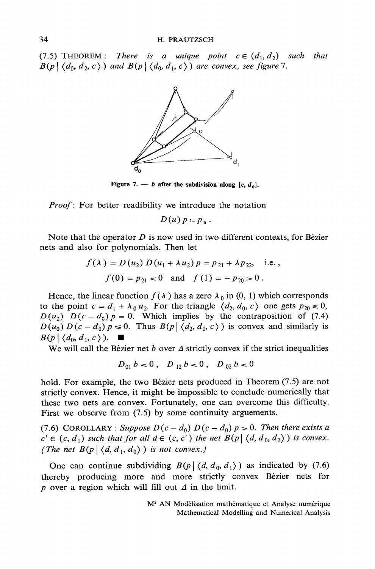(7.5) THEOREM: There is a unique point  $c \in (d_1, d_2)$  such that  $B(p | \langle d_0, d_2, c \rangle)$  and  $B(p | \langle d_0, d_1, c \rangle)$  are convex, see figure 7.



Figure 7. — b after the subdivision along [c,  $d_0$ ].

*Proof*: For better readibility we introduce the notation

 $D(u) p = p_u$ .

Note that the operator  $D$  is now used in two different contexts, for Bézier nets and also for polynomials. Then let

$$
f(\lambda) = D(u_2) D(u_1 + \lambda u_2) p = p_{21} + \lambda p_{22}, \text{ i.e.,}
$$
  

$$
f(0) = p_{21} < 0 \text{ and } f(1) = -p_{20} > 0.
$$

Hence, the linear function  $f(\lambda)$  has a zero  $\lambda_0$  in (0, 1) which corresponds to the point  $c = d_1 + \lambda_0 u_2$ . For the triangle  $\langle d_2, d_0, c \rangle$  one gets  $p_{20} \le 0$ ,  $D(u_2)$   $D(c - d_0) p = 0$ . Which implies by the contraposition of (7.4)  $D(u_0) D(c - d_0) p \le 0$ . Thus  $B(p | \langle d_2, d_0, c \rangle)$  is convex and similarly is  $B(p \mid \langle d_0, d_1, c \rangle).$ 

We will call the Bézier net b over  $\Delta$  strictly convex if the strict inequalities

 $D_{01} b < 0$ ,  $D_{12} b < 0$ ,  $D_{02} b < 0$ 

hold. For example, the two Bézier nets produced in Theorem (7.5) are not strictly convex. Hence, it might be impossible to conclude numerically that these two nets are convex. Fortunately, one can overcome this difficulty. First we observe from  $(7.5)$  by some continuity arguements.

(7.6) COROLLARY: Suppose  $D(c-d_0) D(c-d_0) p > 0$ . Then there exists a  $c' \in (c, d_1)$  such that for all  $d \in (c, c')$  the net  $B(p | \langle d, d_0, d_2 \rangle)$  is convex. (The net  $B(p | \langle d, d_1, d_0 \rangle)$  is not convex.)

One can continue subdividing  $B(p | \langle d, d_0, d_1 \rangle)$  as indicated by (7.6) thereby producing more and more strictly convex Bézier nets for p over a region which will fill out  $\Delta$  in the limit.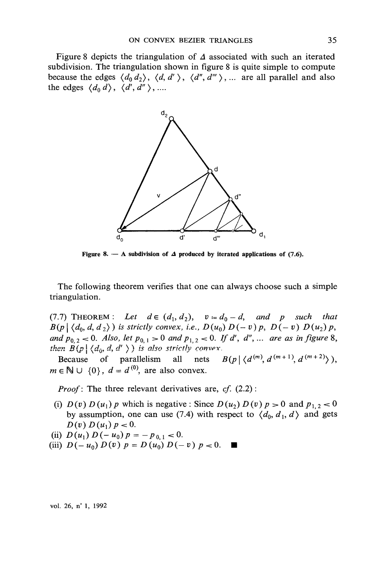Figure 8 depicts the triangulation of  $\Delta$  associated with such an iterated subdivision. The triangulation shown in figure 8 is quite simple to compute because the edges  $\langle d_0 d_2 \rangle$ ,  $\langle d, d' \rangle$ ,  $\langle d'', d''' \rangle$ , ... are all parallel and also the edges  $\langle d_0 d \rangle$ ,  $\langle d', d'' \rangle$ , ...



Figure 8. - A subdivision of  $\Delta$  produced by iterated applications of (7.6).

The following theorem verifies that one can always choose such a simple triangulation.

(7.7) THEOREM: Let  $d \in (d_1, d_2)$ ,  $v = d_0 - d$ , and p such that  $B(p \mid \langle d_0, d, d_2 \rangle)$  is strictly convex, i.e.,  $D(u_0) D(-v) p$ ,  $D(-v) D(u_2) p$ , and  $p_{0,2} < 0$ . Also, let  $p_{0,1} > 0$  and  $p_{1,2} < 0$ . If d', d", ... are as in figure 8, then  $B(p | \langle d_0, d, d' \rangle)$  is also strictly convex.

Because of parallelism all nets  $B(p | \langle d^{(m)}, d^{(m+1)}, d^{(m+2)} \rangle)$ ,  $m \in \mathbb{N} \cup \{0\}$ ,  $d = d^{(0)}$ , are also convex.

*Proof*: The three relevant derivatives are,  $cf. (2.2)$ :

- (i)  $D(v) D(u_1) p$  which is negative: Since  $D(u_2) D(v) p > 0$  and  $p_{1,2} < 0$ by assumption, one can use (7.4) with respect to  $\langle d_0, d_1, d \rangle$  and gets  $D(v) D(u_1) p < 0.$
- (ii)  $D(u_1) D(-u_0) p = -p_{0,1} < 0.$
- (iii)  $D(-u_0) D(v) p = D(u_0) D(-v) p < 0.$